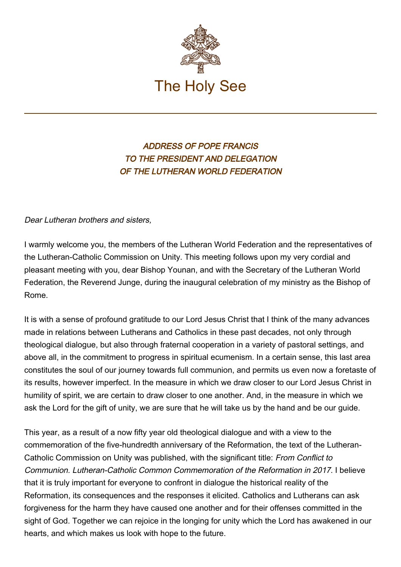

## ADDRESS OF POPE FRANCIS TO THE PRESIDENT AND DELEGATION OF THE LUTHERAN WORLD FEDERATION

Dear Lutheran brothers and sisters,

I warmly welcome you, the members of the Lutheran World Federation and the representatives of the Lutheran-Catholic Commission on Unity. This meeting follows upon my very cordial and pleasant meeting with you, dear Bishop Younan, and with the Secretary of the Lutheran World Federation, the Reverend Junge, during the inaugural celebration of my ministry as the Bishop of Rome.

It is with a sense of profound gratitude to our Lord Jesus Christ that I think of the many advances made in relations between Lutherans and Catholics in these past decades, not only through theological dialogue, but also through fraternal cooperation in a variety of pastoral settings, and above all, in the commitment to progress in spiritual ecumenism. In a certain sense, this last area constitutes the soul of our journey towards full communion, and permits us even now a foretaste of its results, however imperfect. In the measure in which we draw closer to our Lord Jesus Christ in humility of spirit, we are certain to draw closer to one another. And, in the measure in which we ask the Lord for the gift of unity, we are sure that he will take us by the hand and be our guide.

This year, as a result of a now fifty year old theological dialogue and with a view to the commemoration of the five-hundredth anniversary of the Reformation, the text of the Lutheran-Catholic Commission on Unity was published, with the significant title: From Conflict to Communion. Lutheran-Catholic Common Commemoration of the Reformation in 2017. I believe that it is truly important for everyone to confront in dialogue the historical reality of the Reformation, its consequences and the responses it elicited. Catholics and Lutherans can ask forgiveness for the harm they have caused one another and for their offenses committed in the sight of God. Together we can rejoice in the longing for unity which the Lord has awakened in our hearts, and which makes us look with hope to the future.